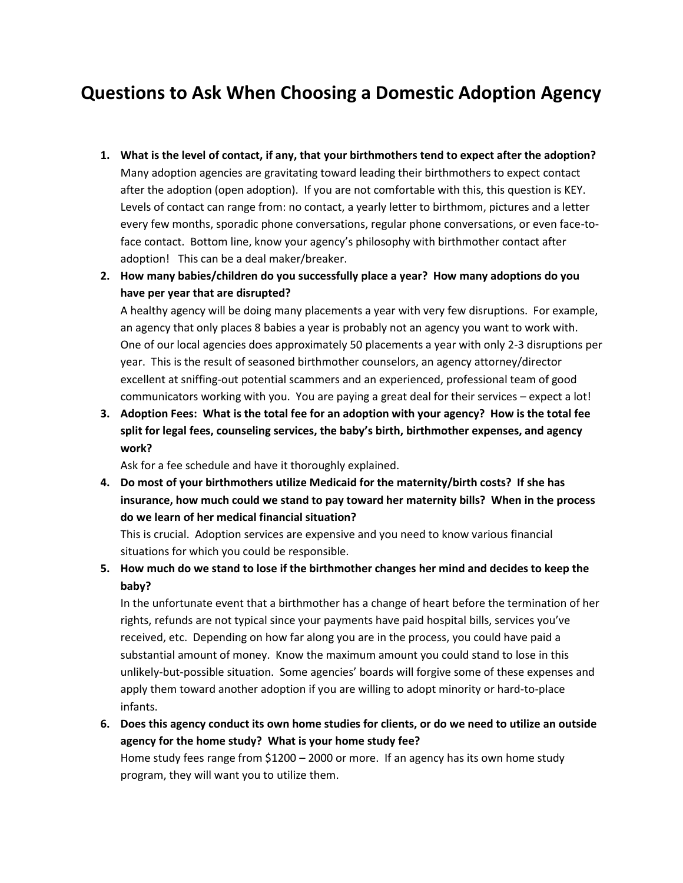## **Questions to Ask When Choosing a Domestic Adoption Agency**

- **1. What is the level of contact, if any, that your birthmothers tend to expect after the adoption?** Many adoption agencies are gravitating toward leading their birthmothers to expect contact after the adoption (open adoption). If you are not comfortable with this, this question is KEY. Levels of contact can range from: no contact, a yearly letter to birthmom, pictures and a letter every few months, sporadic phone conversations, regular phone conversations, or even face-toface contact. Bottom line, know your agency's philosophy with birthmother contact after adoption! This can be a deal maker/breaker.
- **2. How many babies/children do you successfully place a year? How many adoptions do you have per year that are disrupted?**

A healthy agency will be doing many placements a year with very few disruptions. For example, an agency that only places 8 babies a year is probably not an agency you want to work with. One of our local agencies does approximately 50 placements a year with only 2-3 disruptions per year. This is the result of seasoned birthmother counselors, an agency attorney/director excellent at sniffing-out potential scammers and an experienced, professional team of good communicators working with you. You are paying a great deal for their services – expect a lot!

**3. Adoption Fees: What is the total fee for an adoption with your agency? How is the total fee split for legal fees, counseling services, the baby's birth, birthmother expenses, and agency work?** 

Ask for a fee schedule and have it thoroughly explained.

**4. Do most of your birthmothers utilize Medicaid for the maternity/birth costs? If she has insurance, how much could we stand to pay toward her maternity bills? When in the process do we learn of her medical financial situation?**

This is crucial. Adoption services are expensive and you need to know various financial situations for which you could be responsible.

**5. How much do we stand to lose if the birthmother changes her mind and decides to keep the baby?**

In the unfortunate event that a birthmother has a change of heart before the termination of her rights, refunds are not typical since your payments have paid hospital bills, services you've received, etc. Depending on how far along you are in the process, you could have paid a substantial amount of money. Know the maximum amount you could stand to lose in this unlikely-but-possible situation. Some agencies' boards will forgive some of these expenses and apply them toward another adoption if you are willing to adopt minority or hard-to-place infants.

**6. Does this agency conduct its own home studies for clients, or do we need to utilize an outside agency for the home study? What is your home study fee?** Home study fees range from \$1200 – 2000 or more. If an agency has its own home study program, they will want you to utilize them.